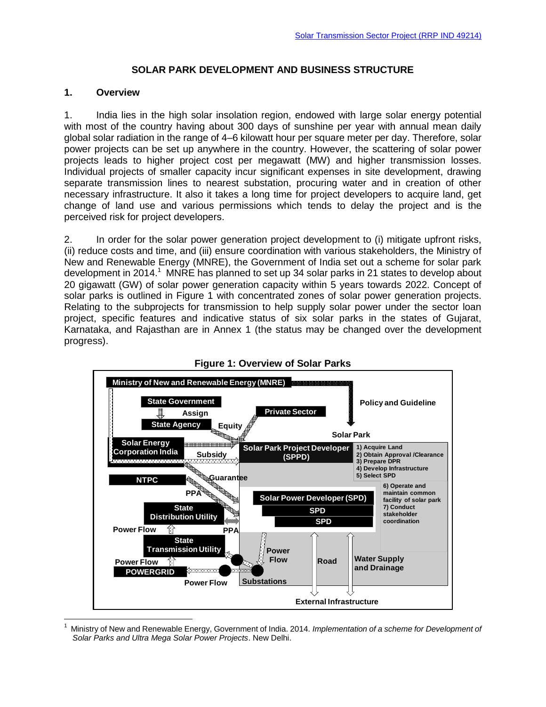## **SOLAR PARK DEVELOPMENT AND BUSINESS STRUCTURE**

#### **1. Overview**

 $\overline{a}$ 

1. India lies in the high solar insolation region, endowed with large solar energy potential with most of the country having about 300 days of sunshine per year with annual mean daily global solar radiation in the range of 4–6 kilowatt hour per square meter per day. Therefore, solar power projects can be set up anywhere in the country. However, the scattering of solar power projects leads to higher project cost per megawatt (MW) and higher transmission losses. Individual projects of smaller capacity incur significant expenses in site development, drawing separate transmission lines to nearest substation, procuring water and in creation of other necessary infrastructure. It also it takes a long time for project developers to acquire land, get change of land use and various permissions which tends to delay the project and is the perceived risk for project developers.

2. In order for the solar power generation project development to (i) mitigate upfront risks, (ii) reduce costs and time, and (iii) ensure coordination with various stakeholders, the Ministry of New and Renewable Energy (MNRE), the Government of India set out a scheme for solar park development in 2014.<sup>1</sup> MNRE has planned to set up 34 solar parks in 21 states to develop about 20 gigawatt (GW) of solar power generation capacity within 5 years towards 2022. Concept of solar parks is outlined in Figure 1 with concentrated zones of solar power generation projects. Relating to the subprojects for transmission to help supply solar power under the sector loan project, specific features and indicative status of six solar parks in the states of Gujarat, Karnataka, and Rajasthan are in Annex 1 (the status may be changed over the development progress).





<sup>1</sup> Ministry of New and Renewable Energy, Government of India. 2014. *Implementation of a scheme for Development of Solar Parks and Ultra Mega Solar Power Projects*. New Delhi.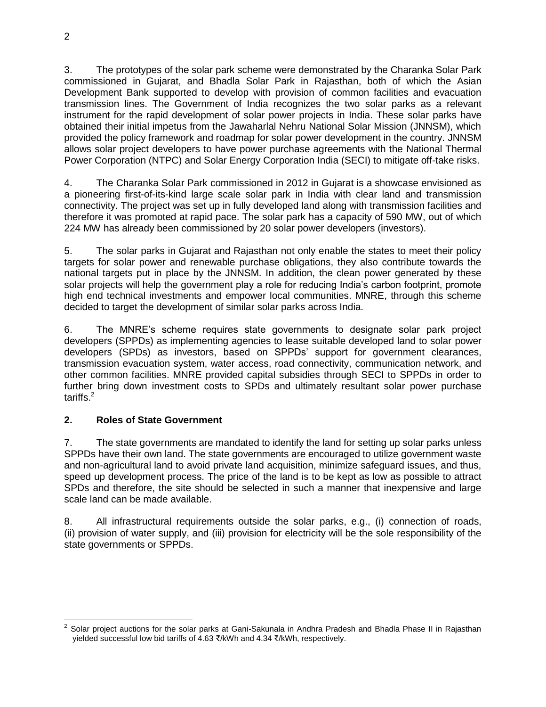3. The prototypes of the solar park scheme were demonstrated by the Charanka Solar Park commissioned in Gujarat, and Bhadla Solar Park in Rajasthan, both of which the Asian Development Bank supported to develop with provision of common facilities and evacuation transmission lines. The Government of India recognizes the two solar parks as a relevant instrument for the rapid development of solar power projects in India. These solar parks have obtained their initial impetus from the Jawaharlal Nehru National Solar Mission (JNNSM), which provided the policy framework and roadmap for solar power development in the country. JNNSM allows solar project developers to have power purchase agreements with the National Thermal Power Corporation (NTPC) and Solar Energy Corporation India (SECI) to mitigate off-take risks.

4. The Charanka Solar Park commissioned in 2012 in Gujarat is a showcase envisioned as a pioneering first-of-its-kind large scale solar park in India with clear land and transmission connectivity. The project was set up in fully developed land along with transmission facilities and therefore it was promoted at rapid pace. The solar park has a capacity of 590 MW, out of which 224 MW has already been commissioned by 20 solar power developers (investors).

5. The solar parks in Gujarat and Rajasthan not only enable the states to meet their policy targets for solar power and renewable purchase obligations, they also contribute towards the national targets put in place by the JNNSM. In addition, the clean power generated by these solar projects will help the government play a role for reducing India's carbon footprint, promote high end technical investments and empower local communities. MNRE, through this scheme decided to target the development of similar solar parks across India.

6. The MNRE's scheme requires state governments to designate solar park project developers (SPPDs) as implementing agencies to lease suitable developed land to solar power developers (SPDs) as investors, based on SPPDs' support for government clearances, transmission evacuation system, water access, road connectivity, communication network, and other common facilities. MNRE provided capital subsidies through SECI to SPPDs in order to further bring down investment costs to SPDs and ultimately resultant solar power purchase tariffs. 2

# **2. Roles of State Government**

7. The state governments are mandated to identify the land for setting up solar parks unless SPPDs have their own land. The state governments are encouraged to utilize government waste and non-agricultural land to avoid private land acquisition, minimize safeguard issues, and thus, speed up development process. The price of the land is to be kept as low as possible to attract SPDs and therefore, the site should be selected in such a manner that inexpensive and large scale land can be made available.

8. All infrastructural requirements outside the solar parks, e.g., (i) connection of roads, (ii) provision of water supply, and (iii) provision for electricity will be the sole responsibility of the state governments or SPPDs.

 $\overline{a}$ 2 Solar project auctions for the solar parks at Gani-Sakunala in Andhra Pradesh and Bhadla Phase II in Rajasthan yielded successful low bid tariffs of 4.63 ₹/kWh and 4.34 ₹/kWh, respectively.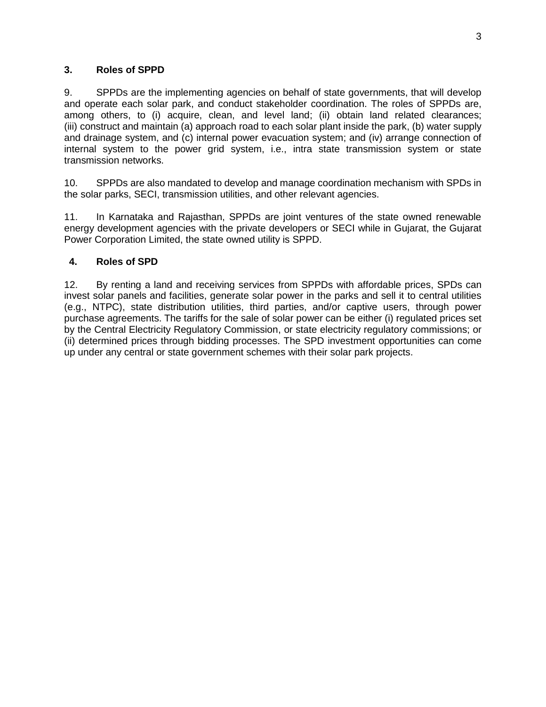## **3. Roles of SPPD**

9. SPPDs are the implementing agencies on behalf of state governments, that will develop and operate each solar park, and conduct stakeholder coordination. The roles of SPPDs are, among others, to (i) acquire, clean, and level land; (ii) obtain land related clearances; (iii) construct and maintain (a) approach road to each solar plant inside the park, (b) water supply and drainage system, and (c) internal power evacuation system; and (iv) arrange connection of internal system to the power grid system, i.e., intra state transmission system or state transmission networks.

10. SPPDs are also mandated to develop and manage coordination mechanism with SPDs in the solar parks, SECI, transmission utilities, and other relevant agencies.

11. In Karnataka and Rajasthan, SPPDs are joint ventures of the state owned renewable energy development agencies with the private developers or SECI while in Gujarat, the Gujarat Power Corporation Limited, the state owned utility is SPPD.

## **4. Roles of SPD**

12. By renting a land and receiving services from SPPDs with affordable prices, SPDs can invest solar panels and facilities, generate solar power in the parks and sell it to central utilities (e.g., NTPC), state distribution utilities, third parties, and/or captive users, through power purchase agreements. The tariffs for the sale of solar power can be either (i) regulated prices set by the Central Electricity Regulatory Commission, or state electricity regulatory commissions; or (ii) determined prices through bidding processes. The SPD investment opportunities can come up under any central or state government schemes with their solar park projects.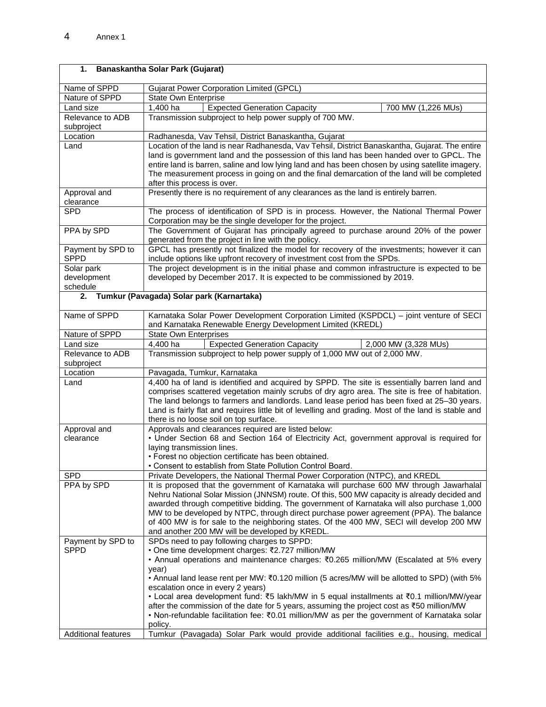| 1.                               | Banaskantha Solar Park (Gujarat)                                                                                                                                                                |  |  |  |  |
|----------------------------------|-------------------------------------------------------------------------------------------------------------------------------------------------------------------------------------------------|--|--|--|--|
| Name of SPPD                     | <b>Gujarat Power Corporation Limited (GPCL)</b>                                                                                                                                                 |  |  |  |  |
| Nature of SPPD                   | State Own Enterprise                                                                                                                                                                            |  |  |  |  |
| Land size                        | 1,400 ha<br><b>Expected Generation Capacity</b><br>700 MW (1,226 MUs)                                                                                                                           |  |  |  |  |
| Relevance to ADB                 | Transmission subproject to help power supply of 700 MW.                                                                                                                                         |  |  |  |  |
| subproject                       |                                                                                                                                                                                                 |  |  |  |  |
| Location                         | Radhanesda, Vav Tehsil, District Banaskantha, Gujarat                                                                                                                                           |  |  |  |  |
| Land                             | Location of the land is near Radhanesda, Vav Tehsil, District Banaskantha, Gujarat. The entire                                                                                                  |  |  |  |  |
|                                  | land is government land and the possession of this land has been handed over to GPCL. The                                                                                                       |  |  |  |  |
|                                  | entire land is barren, saline and low lying land and has been chosen by using satellite imagery.<br>The measurement process in going on and the final demarcation of the land will be completed |  |  |  |  |
|                                  | after this process is over.                                                                                                                                                                     |  |  |  |  |
| Approval and                     | Presently there is no requirement of any clearances as the land is entirely barren.                                                                                                             |  |  |  |  |
| clearance                        |                                                                                                                                                                                                 |  |  |  |  |
| <b>SPD</b>                       | The process of identification of SPD is in process. However, the National Thermal Power                                                                                                         |  |  |  |  |
|                                  | Corporation may be the single developer for the project.                                                                                                                                        |  |  |  |  |
| PPA by SPD                       | The Government of Gujarat has principally agreed to purchase around 20% of the power<br>generated from the project in line with the policy.                                                     |  |  |  |  |
| Payment by SPD to                | GPCL has presently not finalized the model for recovery of the investments; however it can                                                                                                      |  |  |  |  |
| <b>SPPD</b>                      | include options like upfront recovery of investment cost from the SPDs.                                                                                                                         |  |  |  |  |
| Solar park                       | The project development is in the initial phase and common infrastructure is expected to be                                                                                                     |  |  |  |  |
| development                      | developed by December 2017. It is expected to be commissioned by 2019.                                                                                                                          |  |  |  |  |
| schedule                         |                                                                                                                                                                                                 |  |  |  |  |
| 2.                               | Tumkur (Pavagada) Solar park (Karnartaka)                                                                                                                                                       |  |  |  |  |
| Name of SPPD                     | Karnataka Solar Power Development Corporation Limited (KSPDCL) - joint venture of SECI                                                                                                          |  |  |  |  |
|                                  | and Karnataka Renewable Energy Development Limited (KREDL)                                                                                                                                      |  |  |  |  |
| Nature of SPPD                   | <b>State Own Enterprises</b>                                                                                                                                                                    |  |  |  |  |
| Land size                        | 4.400 ha<br><b>Expected Generation Capacity</b><br>2,000 MW (3,328 MUs)                                                                                                                         |  |  |  |  |
| Relevance to ADB<br>subproject   | Transmission subproject to help power supply of 1,000 MW out of 2,000 MW.                                                                                                                       |  |  |  |  |
| Location                         | Pavagada, Tumkur, Karnataka                                                                                                                                                                     |  |  |  |  |
| Land                             | 4,400 ha of land is identified and acquired by SPPD. The site is essentially barren land and                                                                                                    |  |  |  |  |
|                                  | comprises scattered vegetation mainly scrubs of dry agro area. The site is free of habitation.                                                                                                  |  |  |  |  |
|                                  | The land belongs to farmers and landlords. Land lease period has been fixed at 25-30 years.                                                                                                     |  |  |  |  |
|                                  | Land is fairly flat and requires little bit of levelling and grading. Most of the land is stable and                                                                                            |  |  |  |  |
|                                  | there is no loose soil on top surface.                                                                                                                                                          |  |  |  |  |
| Approval and                     | Approvals and clearances required are listed below:                                                                                                                                             |  |  |  |  |
| clearance                        | • Under Section 68 and Section 164 of Electricity Act, government approval is required for                                                                                                      |  |  |  |  |
|                                  | laying transmission lines.<br>· Forest no objection certificate has been obtained.                                                                                                              |  |  |  |  |
|                                  | . Consent to establish from State Pollution Control Board.                                                                                                                                      |  |  |  |  |
| <b>SPD</b>                       | Private Developers, the National Thermal Power Corporation (NTPC), and KREDL                                                                                                                    |  |  |  |  |
| PPA by SPD                       | It is proposed that the government of Karnataka will purchase 600 MW through Jawarhalal                                                                                                         |  |  |  |  |
|                                  | Nehru National Solar Mission (JNNSM) route. Of this, 500 MW capacity is already decided and                                                                                                     |  |  |  |  |
|                                  | awarded through competitive bidding. The government of Karnataka will also purchase 1,000                                                                                                       |  |  |  |  |
|                                  | MW to be developed by NTPC, through direct purchase power agreement (PPA). The balance                                                                                                          |  |  |  |  |
|                                  | of 400 MW is for sale to the neighboring states. Of the 400 MW, SECI will develop 200 MW                                                                                                        |  |  |  |  |
|                                  | and another 200 MW will be developed by KREDL.                                                                                                                                                  |  |  |  |  |
| Payment by SPD to<br><b>SPPD</b> | SPDs need to pay following charges to SPPD:<br>• One time development charges: ₹2.727 million/MW                                                                                                |  |  |  |  |
|                                  | • Annual operations and maintenance charges: ₹0.265 million/MW (Escalated at 5% every                                                                                                           |  |  |  |  |
|                                  | year)                                                                                                                                                                                           |  |  |  |  |
|                                  | • Annual land lease rent per MW: $\text{\textsterling}0.120$ million (5 acres/MW will be allotted to SPD) (with 5%                                                                              |  |  |  |  |
|                                  | escalation once in every 2 years)                                                                                                                                                               |  |  |  |  |
|                                  | • Local area development fund: ₹5 lakh/MW in 5 equal installments at ₹0.1 million/MW/year                                                                                                       |  |  |  |  |
|                                  | after the commission of the date for 5 years, assuming the project cost as ₹50 million/MW                                                                                                       |  |  |  |  |
|                                  | • Non-refundable facilitation fee: $\overline{3}0.01$ million/MW as per the government of Karnataka solar<br>policy.                                                                            |  |  |  |  |
| <b>Additional features</b>       | Tumkur (Pavagada) Solar Park would provide additional facilities e.g.,<br>housing,<br>medical                                                                                                   |  |  |  |  |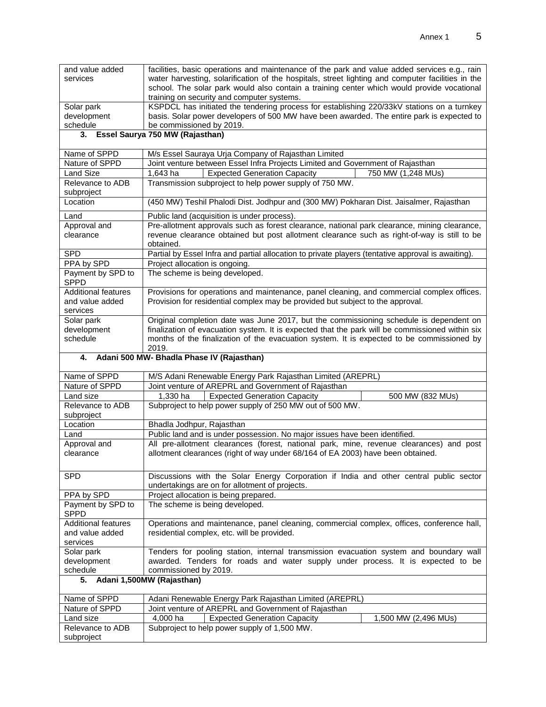| and value added<br>services | facilities, basic operations and maintenance of the park and value added services e.g., rain<br>water harvesting, solarification of the hospitals, street lighting and computer facilities in the<br>school. The solar park would also contain a training center which would provide vocational<br>training on security and computer systems. |
|-----------------------------|-----------------------------------------------------------------------------------------------------------------------------------------------------------------------------------------------------------------------------------------------------------------------------------------------------------------------------------------------|
| Solar park                  | KSPDCL has initiated the tendering process for establishing 220/33kV stations on a turnkey                                                                                                                                                                                                                                                    |
| development                 | basis. Solar power developers of 500 MW have been awarded. The entire park is expected to                                                                                                                                                                                                                                                     |
| schedule                    | be commissioned by 2019.                                                                                                                                                                                                                                                                                                                      |
|                             |                                                                                                                                                                                                                                                                                                                                               |

#### **3. Essel Saurya 750 MW (Rajasthan)**

| Name of SPPD        | M/s Essel Sauraya Urja Company of Rajasthan Limited                                                      |  |  |  |  |
|---------------------|----------------------------------------------------------------------------------------------------------|--|--|--|--|
| Nature of SPPD      | Joint venture between Essel Infra Projects Limited and Government of Rajasthan                           |  |  |  |  |
| Land Size           | <b>Expected Generation Capacity</b><br>750 MW (1,248 MUs)<br>1.643 ha                                    |  |  |  |  |
| Relevance to ADB    | Transmission subproject to help power supply of 750 MW.                                                  |  |  |  |  |
| subproject          |                                                                                                          |  |  |  |  |
| Location            | (450 MW) Teshil Phalodi Dist. Jodhpur and (300 MW) Pokharan Dist. Jaisalmer, Rajasthan                   |  |  |  |  |
| Land                | Public land (acquisition is under process).                                                              |  |  |  |  |
| Approval and        | Pre-allotment approvals such as forest clearance, national park clearance, mining clearance,             |  |  |  |  |
| clearance           | revenue clearance obtained but post allotment clearance such as right-of-way is still to be<br>obtained. |  |  |  |  |
| <b>SPD</b>          | Partial by Essel Infra and partial allocation to private players (tentative approval is awaiting).       |  |  |  |  |
| PPA by SPD          | Project allocation is ongoing.                                                                           |  |  |  |  |
| Payment by SPD to   | The scheme is being developed.                                                                           |  |  |  |  |
| <b>SPPD</b>         |                                                                                                          |  |  |  |  |
| Additional features | Provisions for operations and maintenance, panel cleaning, and commercial complex offices.               |  |  |  |  |
| and value added     | Provision for residential complex may be provided but subject to the approval.                           |  |  |  |  |
| services            |                                                                                                          |  |  |  |  |
| Solar park          | Original completion date was June 2017, but the commissioning schedule is dependent on                   |  |  |  |  |
| development         | finalization of evacuation system. It is expected that the park will be commissioned within six          |  |  |  |  |
| schedule            | months of the finalization of the evacuation system. It is expected to be commissioned by                |  |  |  |  |
|                     | 2019.                                                                                                    |  |  |  |  |

#### **4. Adani 500 MW- Bhadla Phase IV (Rajasthan)**

Relevance to ADB

subproject

| Name of SPPD                 | M/S Adani Renewable Energy Park Rajasthan Limited (AREPRL)                                |                                                                                 |                      |  |  |  |
|------------------------------|-------------------------------------------------------------------------------------------|---------------------------------------------------------------------------------|----------------------|--|--|--|
| Nature of SPPD               |                                                                                           | Joint venture of AREPRL and Government of Rajasthan                             |                      |  |  |  |
| Land size                    | $1.330$ ha                                                                                | <b>Expected Generation Capacity</b>                                             | 500 MW (832 MUs)     |  |  |  |
| Relevance to ADB             | Subproject to help power supply of 250 MW out of 500 MW.                                  |                                                                                 |                      |  |  |  |
| subproject                   |                                                                                           |                                                                                 |                      |  |  |  |
| Location                     | Bhadla Jodhpur, Rajasthan                                                                 |                                                                                 |                      |  |  |  |
| Land                         | Public land and is under possession. No major issues have been identified.                |                                                                                 |                      |  |  |  |
| Approval and                 | All pre-allotment clearances (forest, national park, mine, revenue clearances) and post   |                                                                                 |                      |  |  |  |
| clearance                    |                                                                                           | allotment clearances (right of way under 68/164 of EA 2003) have been obtained. |                      |  |  |  |
|                              |                                                                                           |                                                                                 |                      |  |  |  |
| <b>SPD</b>                   | Discussions with the Solar Energy Corporation if India and other central public sector    |                                                                                 |                      |  |  |  |
|                              | undertakings are on for allotment of projects.                                            |                                                                                 |                      |  |  |  |
| PPA by SPD                   | Project allocation is being prepared.                                                     |                                                                                 |                      |  |  |  |
| Payment by SPD to            | The scheme is being developed.                                                            |                                                                                 |                      |  |  |  |
| <b>SPPD</b>                  |                                                                                           |                                                                                 |                      |  |  |  |
| <b>Additional features</b>   | Operations and maintenance, panel cleaning, commercial complex, offices, conference hall, |                                                                                 |                      |  |  |  |
| and value added              | residential complex, etc. will be provided.                                               |                                                                                 |                      |  |  |  |
| services                     |                                                                                           |                                                                                 |                      |  |  |  |
| Solar park                   | Tenders for pooling station, internal transmission evacuation system and boundary wall    |                                                                                 |                      |  |  |  |
| development                  | awarded. Tenders for roads and water supply under process. It is expected to be           |                                                                                 |                      |  |  |  |
| schedule                     | commissioned by 2019.                                                                     |                                                                                 |                      |  |  |  |
| 5. Adani 1,500MW (Rajasthan) |                                                                                           |                                                                                 |                      |  |  |  |
|                              |                                                                                           |                                                                                 |                      |  |  |  |
| Name of SPPD                 | Adani Renewable Energy Park Rajasthan Limited (AREPRL)                                    |                                                                                 |                      |  |  |  |
| Nature of SPPD               | Joint venture of AREPRL and Government of Rajasthan                                       |                                                                                 |                      |  |  |  |
| Land size                    | 4.000 ha                                                                                  | <b>Expected Generation Capacity</b>                                             | 1,500 MW (2,496 MUs) |  |  |  |

Subproject to help power supply of 1,500 MW.